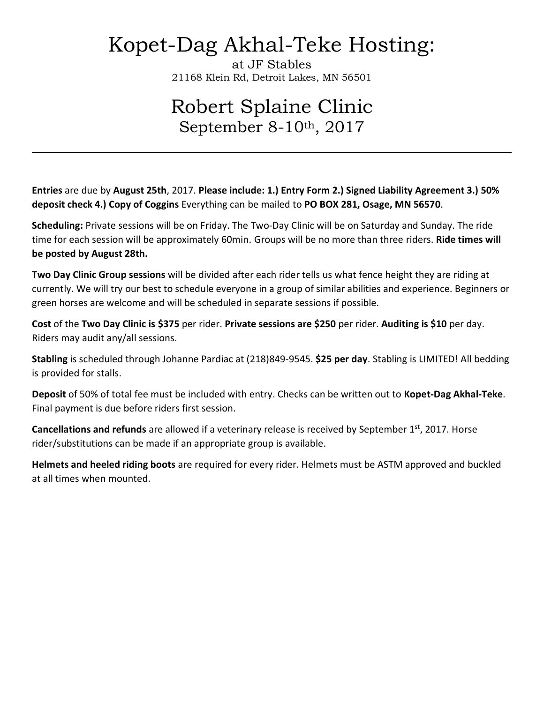# Kopet-Dag Akhal-Teke Hosting:

at JF Stables 21168 Klein Rd, Detroit Lakes, MN 56501

## Robert Splaine Clinic September 8-10th, 2017

**Entries** are due by **August 25th**, 2017. **Please include: 1.) Entry Form 2.) Signed Liability Agreement 3.) 50% deposit check 4.) Copy of Coggins** Everything can be mailed to **PO BOX 281, Osage, MN 56570**.

**Scheduling:** Private sessions will be on Friday. The Two-Day Clinic will be on Saturday and Sunday. The ride time for each session will be approximately 60min. Groups will be no more than three riders. **Ride times will be posted by August 28th.**

**Two Day Clinic Group sessions** will be divided after each rider tells us what fence height they are riding at currently. We will try our best to schedule everyone in a group of similar abilities and experience. Beginners or green horses are welcome and will be scheduled in separate sessions if possible.

**Cost** of the **Two Day Clinic is \$375** per rider. **Private sessions are \$250** per rider. **Auditing is \$10** per day. Riders may audit any/all sessions.

**Stabling** is scheduled through Johanne Pardiac at (218)849-9545. **\$25 per day**. Stabling is LIMITED! All bedding is provided for stalls.

**Deposit** of 50% of total fee must be included with entry. Checks can be written out to **Kopet-Dag Akhal-Teke**. Final payment is due before riders first session.

**Cancellations and refunds** are allowed if a veterinary release is received by September 1<sup>st</sup>, 2017. Horse rider/substitutions can be made if an appropriate group is available.

**Helmets and heeled riding boots** are required for every rider. Helmets must be ASTM approved and buckled at all times when mounted.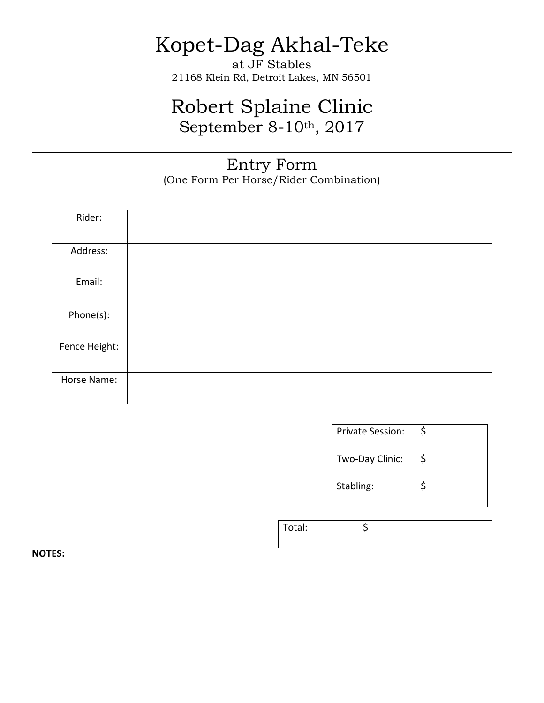# Kopet-Dag Akhal-Teke

at JF Stables 21168 Klein Rd, Detroit Lakes, MN 56501

## Robert Splaine Clinic September 8-10th, 2017

#### Entry Form (One Form Per Horse/Rider Combination)

| Rider:        |  |
|---------------|--|
|               |  |
| Address:      |  |
|               |  |
| Email:        |  |
|               |  |
| Phone(s):     |  |
|               |  |
| Fence Height: |  |
|               |  |
| Horse Name:   |  |
|               |  |

| Private Session: | Ś  |
|------------------|----|
| Two-Day Clinic:  | \$ |
| Stabling:        |    |

| Total: |  |
|--------|--|
|        |  |

**NOTES:**